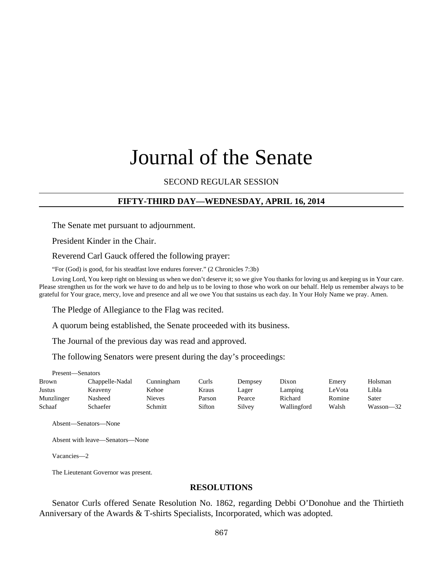# Journal of the Senate

# SECOND REGULAR SESSION

# **FIFTY-THIRD DAY—WEDNESDAY, APRIL 16, 2014**

The Senate met pursuant to adjournment.

President Kinder in the Chair.

Reverend Carl Gauck offered the following prayer:

"For (God) is good, for his steadfast love endures forever." (2 Chronicles 7:3b)

Loving Lord, You keep right on blessing us when we don't deserve it; so we give You thanks for loving us and keeping us in Your care. Please strengthen us for the work we have to do and help us to be loving to those who work on our behalf. Help us remember always to be grateful for Your grace, mercy, love and presence and all we owe You that sustains us each day. In Your Holy Name we pray. Amen.

The Pledge of Allegiance to the Flag was recited.

A quorum being established, the Senate proceeded with its business.

The Journal of the previous day was read and approved.

The following Senators were present during the day's proceedings:

| Present—Senators |                 |            |        |         |             |        |           |
|------------------|-----------------|------------|--------|---------|-------------|--------|-----------|
| <b>Brown</b>     | Chappelle-Nadal | Cunningham | Curls  | Dempsey | Dixon       | Emery  | Holsman   |
| Justus           | Keaveny         | Kehoe      | Kraus  | Lager   | Lamping     | LeVota | Libla     |
| Munzlinger       | Nasheed         | Nieves     | Parson | Pearce  | Richard     | Romine | Sater     |
| Schaaf           | Schaefer        | Schmitt    | Sifton | Silvey  | Wallingford | Walsh  | Wasson—32 |

Absent—Senators—None

Absent with leave—Senators—None

Vacancies—2

The Lieutenant Governor was present.

#### **RESOLUTIONS**

Senator Curls offered Senate Resolution No. 1862, regarding Debbi O'Donohue and the Thirtieth Anniversary of the Awards & T-shirts Specialists, Incorporated, which was adopted.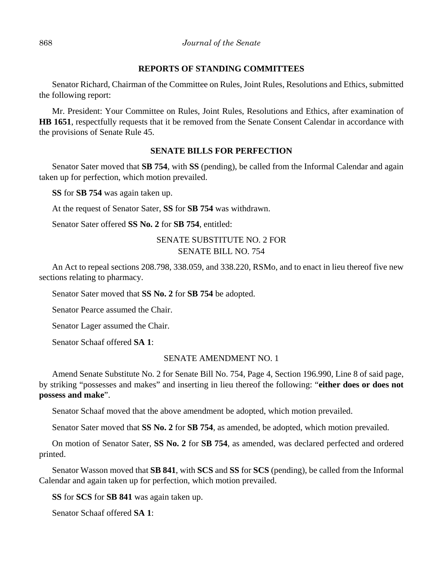## **REPORTS OF STANDING COMMITTEES**

Senator Richard, Chairman of the Committee on Rules, Joint Rules, Resolutions and Ethics, submitted the following report:

Mr. President: Your Committee on Rules, Joint Rules, Resolutions and Ethics, after examination of **HB 1651**, respectfully requests that it be removed from the Senate Consent Calendar in accordance with the provisions of Senate Rule 45.

# **SENATE BILLS FOR PERFECTION**

Senator Sater moved that **SB 754**, with **SS** (pending), be called from the Informal Calendar and again taken up for perfection, which motion prevailed.

**SS** for **SB 754** was again taken up.

At the request of Senator Sater, **SS** for **SB 754** was withdrawn.

Senator Sater offered **SS No. 2** for **SB 754**, entitled:

# SENATE SUBSTITUTE NO. 2 FOR SENATE BILL NO. 754

An Act to repeal sections 208.798, 338.059, and 338.220, RSMo, and to enact in lieu thereof five new sections relating to pharmacy.

Senator Sater moved that **SS No. 2** for **SB 754** be adopted.

Senator Pearce assumed the Chair.

Senator Lager assumed the Chair.

Senator Schaaf offered **SA 1**:

## SENATE AMENDMENT NO. 1

Amend Senate Substitute No. 2 for Senate Bill No. 754, Page 4, Section 196.990, Line 8 of said page, by striking "possesses and makes" and inserting in lieu thereof the following: "**either does or does not possess and make**".

Senator Schaaf moved that the above amendment be adopted, which motion prevailed.

Senator Sater moved that **SS No. 2** for **SB 754**, as amended, be adopted, which motion prevailed.

On motion of Senator Sater, **SS No. 2** for **SB 754**, as amended, was declared perfected and ordered printed.

Senator Wasson moved that **SB 841**, with **SCS** and **SS** for **SCS** (pending), be called from the Informal Calendar and again taken up for perfection, which motion prevailed.

**SS** for **SCS** for **SB 841** was again taken up.

Senator Schaaf offered **SA 1**: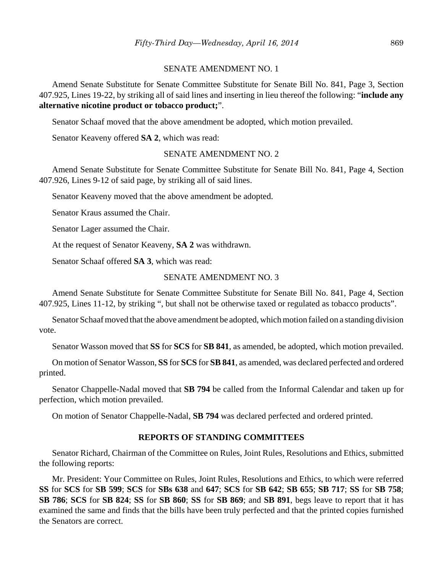#### SENATE AMENDMENT NO. 1

Amend Senate Substitute for Senate Committee Substitute for Senate Bill No. 841, Page 3, Section 407.925, Lines 19-22, by striking all of said lines and inserting in lieu thereof the following: "**include any alternative nicotine product or tobacco product;**".

Senator Schaaf moved that the above amendment be adopted, which motion prevailed.

Senator Keaveny offered **SA 2**, which was read:

#### SENATE AMENDMENT NO. 2

Amend Senate Substitute for Senate Committee Substitute for Senate Bill No. 841, Page 4, Section 407.926, Lines 9-12 of said page, by striking all of said lines.

Senator Keaveny moved that the above amendment be adopted.

Senator Kraus assumed the Chair.

Senator Lager assumed the Chair.

At the request of Senator Keaveny, **SA 2** was withdrawn.

Senator Schaaf offered **SA 3**, which was read:

#### SENATE AMENDMENT NO. 3

Amend Senate Substitute for Senate Committee Substitute for Senate Bill No. 841, Page 4, Section 407.925, Lines 11-12, by striking ", but shall not be otherwise taxed or regulated as tobacco products".

Senator Schaaf moved that the above amendment be adopted, which motion failed on a standing division vote.

Senator Wasson moved that **SS** for **SCS** for **SB 841**, as amended, be adopted, which motion prevailed.

On motion of Senator Wasson, **SS** for **SCS** for **SB 841**, as amended, was declared perfected and ordered printed.

Senator Chappelle-Nadal moved that **SB 794** be called from the Informal Calendar and taken up for perfection, which motion prevailed.

On motion of Senator Chappelle-Nadal, **SB 794** was declared perfected and ordered printed.

#### **REPORTS OF STANDING COMMITTEES**

Senator Richard, Chairman of the Committee on Rules, Joint Rules, Resolutions and Ethics, submitted the following reports:

Mr. President: Your Committee on Rules, Joint Rules, Resolutions and Ethics, to which were referred **SS** for **SCS** for **SB 599**; **SCS** for **SBs 638** and **647**; **SCS** for **SB 642**; **SB 655**; **SB 717**; **SS** for **SB 758**; **SB 786**; **SCS** for **SB 824**; **SS** for **SB 860**; **SS** for **SB 869**; and **SB 891**, begs leave to report that it has examined the same and finds that the bills have been truly perfected and that the printed copies furnished the Senators are correct.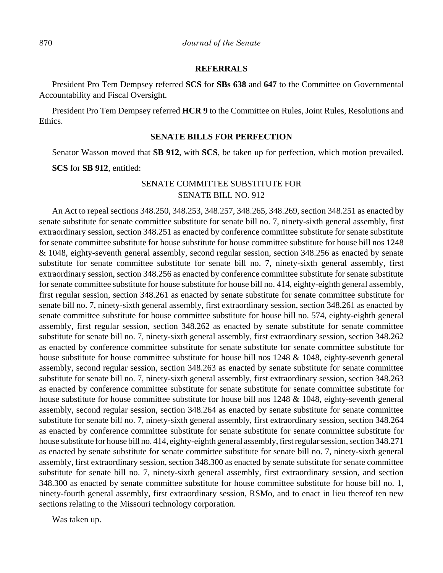#### **REFERRALS**

President Pro Tem Dempsey referred **SCS** for **SBs 638** and **647** to the Committee on Governmental Accountability and Fiscal Oversight.

President Pro Tem Dempsey referred **HCR 9** to the Committee on Rules, Joint Rules, Resolutions and Ethics.

# **SENATE BILLS FOR PERFECTION**

Senator Wasson moved that **SB 912**, with **SCS**, be taken up for perfection, which motion prevailed.

**SCS** for **SB 912**, entitled:

# SENATE COMMITTEE SUBSTITUTE FOR SENATE BILL NO. 912

An Act to repeal sections 348.250, 348.253, 348.257, 348.265, 348.269, section 348.251 as enacted by senate substitute for senate committee substitute for senate bill no. 7, ninety-sixth general assembly, first extraordinary session, section 348.251 as enacted by conference committee substitute for senate substitute for senate committee substitute for house substitute for house committee substitute for house bill nos 1248 & 1048, eighty-seventh general assembly, second regular session, section 348.256 as enacted by senate substitute for senate committee substitute for senate bill no. 7, ninety-sixth general assembly, first extraordinary session, section 348.256 as enacted by conference committee substitute for senate substitute for senate committee substitute for house substitute for house bill no. 414, eighty-eighth general assembly, first regular session, section 348.261 as enacted by senate substitute for senate committee substitute for senate bill no. 7, ninety-sixth general assembly, first extraordinary session, section 348.261 as enacted by senate committee substitute for house committee substitute for house bill no. 574, eighty-eighth general assembly, first regular session, section 348.262 as enacted by senate substitute for senate committee substitute for senate bill no. 7, ninety-sixth general assembly, first extraordinary session, section 348.262 as enacted by conference committee substitute for senate substitute for senate committee substitute for house substitute for house committee substitute for house bill nos 1248 & 1048, eighty-seventh general assembly, second regular session, section 348.263 as enacted by senate substitute for senate committee substitute for senate bill no. 7, ninety-sixth general assembly, first extraordinary session, section 348.263 as enacted by conference committee substitute for senate substitute for senate committee substitute for house substitute for house committee substitute for house bill nos 1248 & 1048, eighty-seventh general assembly, second regular session, section 348.264 as enacted by senate substitute for senate committee substitute for senate bill no. 7, ninety-sixth general assembly, first extraordinary session, section 348.264 as enacted by conference committee substitute for senate substitute for senate committee substitute for house substitute for house bill no. 414, eighty-eighth general assembly, first regular session, section 348.271 as enacted by senate substitute for senate committee substitute for senate bill no. 7, ninety-sixth general assembly, first extraordinary session, section 348.300 as enacted by senate substitute for senate committee substitute for senate bill no. 7, ninety-sixth general assembly, first extraordinary session, and section 348.300 as enacted by senate committee substitute for house committee substitute for house bill no. 1, ninety-fourth general assembly, first extraordinary session, RSMo, and to enact in lieu thereof ten new sections relating to the Missouri technology corporation.

Was taken up.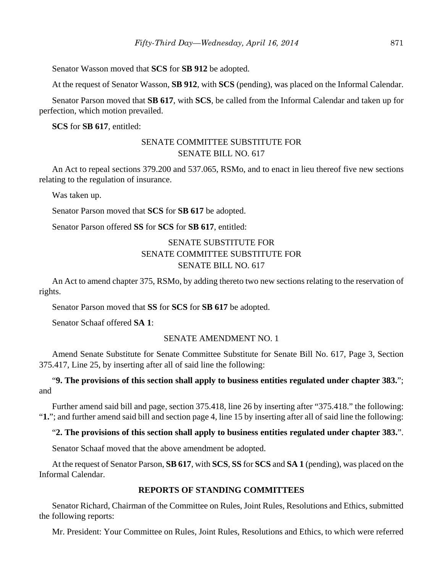Senator Wasson moved that **SCS** for **SB 912** be adopted.

At the request of Senator Wasson, **SB 912**, with **SCS** (pending), was placed on the Informal Calendar.

Senator Parson moved that **SB 617**, with **SCS**, be called from the Informal Calendar and taken up for perfection, which motion prevailed.

**SCS** for **SB 617**, entitled:

# SENATE COMMITTEE SUBSTITUTE FOR SENATE BILL NO. 617

An Act to repeal sections 379.200 and 537.065, RSMo, and to enact in lieu thereof five new sections relating to the regulation of insurance.

Was taken up.

Senator Parson moved that **SCS** for **SB 617** be adopted.

Senator Parson offered **SS** for **SCS** for **SB 617**, entitled:

# SENATE SUBSTITUTE FOR SENATE COMMITTEE SUBSTITUTE FOR SENATE BILL NO. 617

An Act to amend chapter 375, RSMo, by adding thereto two new sections relating to the reservation of rights.

Senator Parson moved that **SS** for **SCS** for **SB 617** be adopted.

Senator Schaaf offered **SA 1**:

# SENATE AMENDMENT NO. 1

Amend Senate Substitute for Senate Committee Substitute for Senate Bill No. 617, Page 3, Section 375.417, Line 25, by inserting after all of said line the following:

# "**9. The provisions of this section shall apply to business entities regulated under chapter 383.**"; and

Further amend said bill and page, section 375.418, line 26 by inserting after "375.418." the following: "**1.**"; and further amend said bill and section page 4, line 15 by inserting after all of said line the following:

# "**2. The provisions of this section shall apply to business entities regulated under chapter 383.**".

Senator Schaaf moved that the above amendment be adopted.

At the request of Senator Parson, **SB 617**, with **SCS**, **SS** for **SCS** and **SA 1** (pending), was placed on the Informal Calendar.

# **REPORTS OF STANDING COMMITTEES**

Senator Richard, Chairman of the Committee on Rules, Joint Rules, Resolutions and Ethics, submitted the following reports:

Mr. President: Your Committee on Rules, Joint Rules, Resolutions and Ethics, to which were referred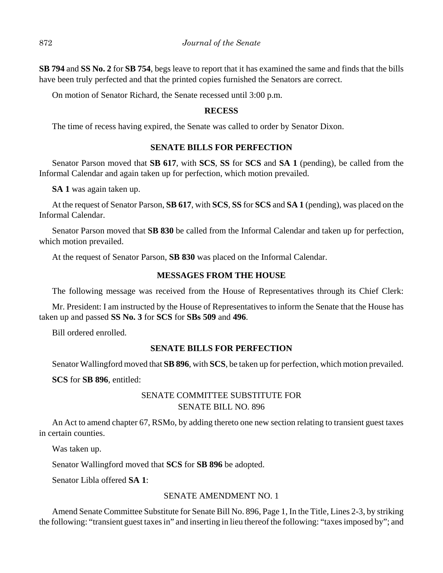**SB 794** and **SS No. 2** for **SB 754**, begs leave to report that it has examined the same and finds that the bills have been truly perfected and that the printed copies furnished the Senators are correct.

On motion of Senator Richard, the Senate recessed until 3:00 p.m.

# **RECESS**

The time of recess having expired, the Senate was called to order by Senator Dixon.

## **SENATE BILLS FOR PERFECTION**

Senator Parson moved that **SB 617**, with **SCS**, **SS** for **SCS** and **SA 1** (pending), be called from the Informal Calendar and again taken up for perfection, which motion prevailed.

**SA 1** was again taken up.

At the request of Senator Parson, **SB 617**, with **SCS**, **SS** for **SCS** and **SA 1** (pending), was placed on the Informal Calendar.

Senator Parson moved that **SB 830** be called from the Informal Calendar and taken up for perfection, which motion prevailed.

At the request of Senator Parson, **SB 830** was placed on the Informal Calendar.

## **MESSAGES FROM THE HOUSE**

The following message was received from the House of Representatives through its Chief Clerk:

Mr. President: I am instructed by the House of Representatives to inform the Senate that the House has taken up and passed **SS No. 3** for **SCS** for **SBs 509** and **496**.

Bill ordered enrolled.

# **SENATE BILLS FOR PERFECTION**

Senator Wallingford moved that **SB 896**, with **SCS**, be taken up for perfection, which motion prevailed.

**SCS** for **SB 896**, entitled:

# SENATE COMMITTEE SUBSTITUTE FOR SENATE BILL NO. 896

An Act to amend chapter 67, RSMo, by adding thereto one new section relating to transient guest taxes in certain counties.

Was taken up.

Senator Wallingford moved that **SCS** for **SB 896** be adopted.

Senator Libla offered **SA 1**:

# SENATE AMENDMENT NO. 1

Amend Senate Committee Substitute for Senate Bill No. 896, Page 1, In the Title, Lines 2-3, by striking the following: "transient guest taxes in" and inserting in lieu thereof the following: "taxes imposed by"; and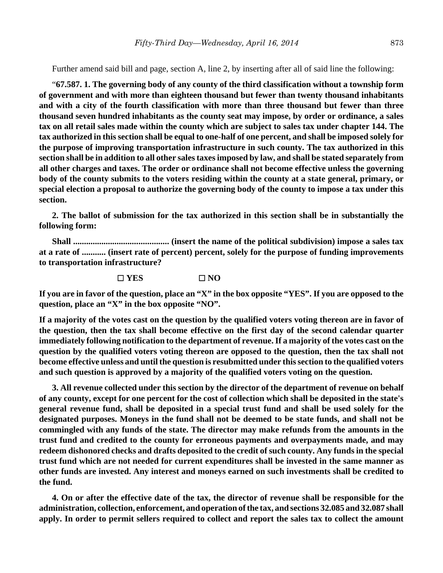Further amend said bill and page, section A, line 2, by inserting after all of said line the following:

"**67.587. 1. The governing body of any county of the third classification without a township form of government and with more than eighteen thousand but fewer than twenty thousand inhabitants and with a city of the fourth classification with more than three thousand but fewer than three thousand seven hundred inhabitants as the county seat may impose, by order or ordinance, a sales tax on all retail sales made within the county which are subject to sales tax under chapter 144. The tax authorized in this section shall be equal to one-half of one percent, and shall be imposed solely for the purpose of improving transportation infrastructure in such county. The tax authorized in this section shall be in addition to all other sales taxes imposed by law, and shall be stated separately from all other charges and taxes. The order or ordinance shall not become effective unless the governing body of the county submits to the voters residing within the county at a state general, primary, or special election a proposal to authorize the governing body of the county to impose a tax under this section.**

**2. The ballot of submission for the tax authorized in this section shall be in substantially the following form:**

**Shall ............................................ (insert the name of the political subdivision) impose a sales tax at a rate of ........... (insert rate of percent) percent, solely for the purpose of funding improvements to transportation infrastructure?** 

G **YES** G **NO**

**If you are in favor of the question, place an "X" in the box opposite "YES". If you are opposed to the question, place an "X" in the box opposite "NO".**

**If a majority of the votes cast on the question by the qualified voters voting thereon are in favor of the question, then the tax shall become effective on the first day of the second calendar quarter immediately following notification to the department of revenue. If a majority of the votes cast on the question by the qualified voters voting thereon are opposed to the question, then the tax shall not become effective unless and until the question is resubmitted under this section to the qualified voters and such question is approved by a majority of the qualified voters voting on the question.**

**3. All revenue collected under this section by the director of the department of revenue on behalf of any county, except for one percent for the cost of collection which shall be deposited in the state's general revenue fund, shall be deposited in a special trust fund and shall be used solely for the designated purposes. Moneys in the fund shall not be deemed to be state funds, and shall not be commingled with any funds of the state. The director may make refunds from the amounts in the trust fund and credited to the county for erroneous payments and overpayments made, and may redeem dishonored checks and drafts deposited to the credit of such county. Any funds in the special trust fund which are not needed for current expenditures shall be invested in the same manner as other funds are invested. Any interest and moneys earned on such investments shall be credited to the fund.**

**4. On or after the effective date of the tax, the director of revenue shall be responsible for the administration, collection, enforcement, and operation of the tax, and sections 32.085 and 32.087 shall apply. In order to permit sellers required to collect and report the sales tax to collect the amount**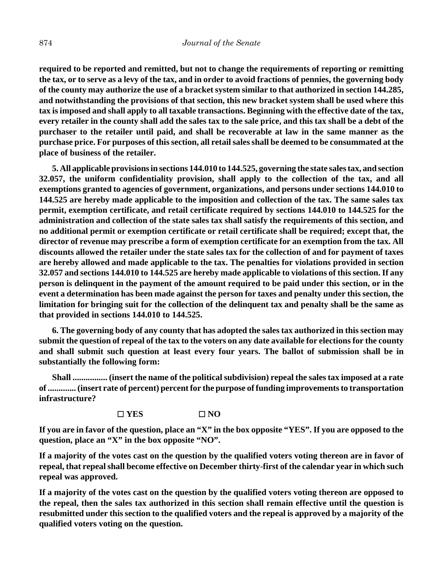**required to be reported and remitted, but not to change the requirements of reporting or remitting the tax, or to serve as a levy of the tax, and in order to avoid fractions of pennies, the governing body of the county may authorize the use of a bracket system similar to that authorized in section 144.285, and notwithstanding the provisions of that section, this new bracket system shall be used where this tax is imposed and shall apply to all taxable transactions. Beginning with the effective date of the tax, every retailer in the county shall add the sales tax to the sale price, and this tax shall be a debt of the purchaser to the retailer until paid, and shall be recoverable at law in the same manner as the purchase price. For purposes of this section, all retail sales shall be deemed to be consummated at the place of business of the retailer.**

**5. All applicable provisions in sections 144.010 to 144.525, governing the state sales tax, and section 32.057, the uniform confidentiality provision, shall apply to the collection of the tax, and all exemptions granted to agencies of government, organizations, and persons under sections 144.010 to 144.525 are hereby made applicable to the imposition and collection of the tax. The same sales tax permit, exemption certificate, and retail certificate required by sections 144.010 to 144.525 for the administration and collection of the state sales tax shall satisfy the requirements of this section, and no additional permit or exemption certificate or retail certificate shall be required; except that, the director of revenue may prescribe a form of exemption certificate for an exemption from the tax. All discounts allowed the retailer under the state sales tax for the collection of and for payment of taxes are hereby allowed and made applicable to the tax. The penalties for violations provided in section 32.057 and sections 144.010 to 144.525 are hereby made applicable to violations of this section. If any person is delinquent in the payment of the amount required to be paid under this section, or in the event a determination has been made against the person for taxes and penalty under this section, the limitation for bringing suit for the collection of the delinquent tax and penalty shall be the same as that provided in sections 144.010 to 144.525.**

**6. The governing body of any county that has adopted the sales tax authorized in this section may submit the question of repeal of the tax to the voters on any date available for elections for the county and shall submit such question at least every four years. The ballot of submission shall be in substantially the following form:**

**Shall ................ (insert the name of the political subdivision) repeal the sales tax imposed at a rate of ............. (insert rate of percent) percent for the purpose of funding improvements to transportation infrastructure?**

#### G **YES** G **NO**

**If you are in favor of the question, place an "X" in the box opposite "YES". If you are opposed to the question, place an "X" in the box opposite "NO".**

**If a majority of the votes cast on the question by the qualified voters voting thereon are in favor of repeal, that repeal shall become effective on December thirty-first of the calendar year in which such repeal was approved.**

**If a majority of the votes cast on the question by the qualified voters voting thereon are opposed to the repeal, then the sales tax authorized in this section shall remain effective until the question is resubmitted under this section to the qualified voters and the repeal is approved by a majority of the qualified voters voting on the question.**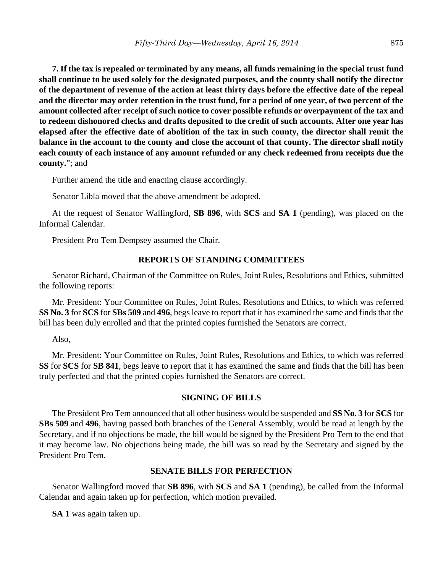**7. If the tax is repealed or terminated by any means, all funds remaining in the special trust fund shall continue to be used solely for the designated purposes, and the county shall notify the director of the department of revenue of the action at least thirty days before the effective date of the repeal and the director may order retention in the trust fund, for a period of one year, of two percent of the amount collected after receipt of such notice to cover possible refunds or overpayment of the tax and to redeem dishonored checks and drafts deposited to the credit of such accounts. After one year has elapsed after the effective date of abolition of the tax in such county, the director shall remit the balance in the account to the county and close the account of that county. The director shall notify each county of each instance of any amount refunded or any check redeemed from receipts due the county.**"; and

Further amend the title and enacting clause accordingly.

Senator Libla moved that the above amendment be adopted.

At the request of Senator Wallingford, **SB 896**, with **SCS** and **SA 1** (pending), was placed on the Informal Calendar.

President Pro Tem Dempsey assumed the Chair.

#### **REPORTS OF STANDING COMMITTEES**

Senator Richard, Chairman of the Committee on Rules, Joint Rules, Resolutions and Ethics, submitted the following reports:

Mr. President: Your Committee on Rules, Joint Rules, Resolutions and Ethics, to which was referred **SS No. 3** for **SCS** for **SBs 509** and **496**, begs leave to report that it has examined the same and finds that the bill has been duly enrolled and that the printed copies furnished the Senators are correct.

Also,

Mr. President: Your Committee on Rules, Joint Rules, Resolutions and Ethics, to which was referred **SS** for **SCS** for **SB 841**, begs leave to report that it has examined the same and finds that the bill has been truly perfected and that the printed copies furnished the Senators are correct.

#### **SIGNING OF BILLS**

The President Pro Tem announced that all other business would be suspended and **SS No. 3** for **SCS** for **SBs 509** and **496**, having passed both branches of the General Assembly, would be read at length by the Secretary, and if no objections be made, the bill would be signed by the President Pro Tem to the end that it may become law. No objections being made, the bill was so read by the Secretary and signed by the President Pro Tem.

# **SENATE BILLS FOR PERFECTION**

Senator Wallingford moved that **SB 896**, with **SCS** and **SA 1** (pending), be called from the Informal Calendar and again taken up for perfection, which motion prevailed.

**SA 1** was again taken up.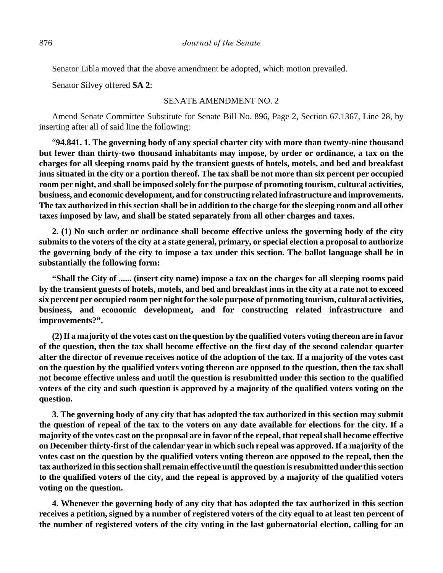Senator Libla moved that the above amendment be adopted, which motion prevailed.

Senator Silvey offered **SA 2**:

#### SENATE AMENDMENT NO. 2

Amend Senate Committee Substitute for Senate Bill No. 896, Page 2, Section 67.1367, Line 28, by inserting after all of said line the following:

"**94.841. 1. The governing body of any special charter city with more than twenty-nine thousand but fewer than thirty-two thousand inhabitants may impose, by order or ordinance, a tax on the charges for all sleeping rooms paid by the transient guests of hotels, motels, and bed and breakfast inns situated in the city or a portion thereof. The tax shall be not more than six percent per occupied room per night, and shall be imposed solely for the purpose of promoting tourism, cultural activities, business, and economic development, and for constructing related infrastructure and improvements. The tax authorized in this section shall be in addition to the charge for the sleeping room and all other taxes imposed by law, and shall be stated separately from all other charges and taxes.**

**2. (1) No such order or ordinance shall become effective unless the governing body of the city submits to the voters of the city at a state general, primary, or special election a proposal to authorize the governing body of the city to impose a tax under this section. The ballot language shall be in substantially the following form:**

**"Shall the City of ...... (insert city name) impose a tax on the charges for all sleeping rooms paid by the transient guests of hotels, motels, and bed and breakfast inns in the city at a rate not to exceed six percent per occupied room per night for the sole purpose of promoting tourism, cultural activities, business, and economic development, and for constructing related infrastructure and improvements?".**

**(2) If a majority of the votes cast on the question by the qualified voters voting thereon are in favor of the question, then the tax shall become effective on the first day of the second calendar quarter after the director of revenue receives notice of the adoption of the tax. If a majority of the votes cast on the question by the qualified voters voting thereon are opposed to the question, then the tax shall not become effective unless and until the question is resubmitted under this section to the qualified voters of the city and such question is approved by a majority of the qualified voters voting on the question.**

**3. The governing body of any city that has adopted the tax authorized in this section may submit the question of repeal of the tax to the voters on any date available for elections for the city. If a majority of the votes cast on the proposal are in favor of the repeal, that repeal shall become effective on December thirty-first of the calendar year in which such repeal was approved. If a majority of the votes cast on the question by the qualified voters voting thereon are opposed to the repeal, then the tax authorized in this section shall remain effective until the question is resubmitted under this section to the qualified voters of the city, and the repeal is approved by a majority of the qualified voters voting on the question.**

**4. Whenever the governing body of any city that has adopted the tax authorized in this section receives a petition, signed by a number of registered voters of the city equal to at least ten percent of the number of registered voters of the city voting in the last gubernatorial election, calling for an**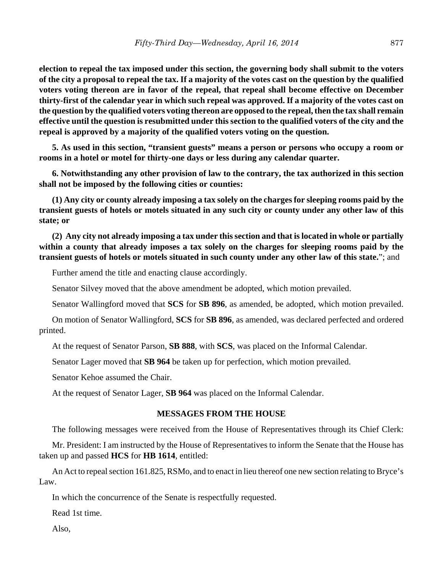**election to repeal the tax imposed under this section, the governing body shall submit to the voters of the city a proposal to repeal the tax. If a majority of the votes cast on the question by the qualified voters voting thereon are in favor of the repeal, that repeal shall become effective on December thirty-first of the calendar year in which such repeal was approved. If a majority of the votes cast on the question by the qualified voters voting thereon are opposed to the repeal, then the tax shall remain effective until the question is resubmitted under this section to the qualified voters of the city and the repeal is approved by a majority of the qualified voters voting on the question.**

**5. As used in this section, "transient guests" means a person or persons who occupy a room or rooms in a hotel or motel for thirty-one days or less during any calendar quarter.**

**6. Notwithstanding any other provision of law to the contrary, the tax authorized in this section shall not be imposed by the following cities or counties:** 

**(1) Any city or county already imposing a tax solely on the charges for sleeping rooms paid by the transient guests of hotels or motels situated in any such city or county under any other law of this state; or**

**(2) Any city not already imposing a tax under this section and that is located in whole or partially within a county that already imposes a tax solely on the charges for sleeping rooms paid by the transient guests of hotels or motels situated in such county under any other law of this state.**"; and

Further amend the title and enacting clause accordingly.

Senator Silvey moved that the above amendment be adopted, which motion prevailed.

Senator Wallingford moved that **SCS** for **SB 896**, as amended, be adopted, which motion prevailed.

On motion of Senator Wallingford, **SCS** for **SB 896**, as amended, was declared perfected and ordered printed.

At the request of Senator Parson, **SB 888**, with **SCS**, was placed on the Informal Calendar.

Senator Lager moved that **SB 964** be taken up for perfection, which motion prevailed.

Senator Kehoe assumed the Chair.

At the request of Senator Lager, **SB 964** was placed on the Informal Calendar.

# **MESSAGES FROM THE HOUSE**

The following messages were received from the House of Representatives through its Chief Clerk:

Mr. President: I am instructed by the House of Representatives to inform the Senate that the House has taken up and passed **HCS** for **HB 1614**, entitled:

An Act to repeal section 161.825, RSMo, and to enact in lieu thereof one new section relating to Bryce's Law.

In which the concurrence of the Senate is respectfully requested.

Read 1st time.

Also,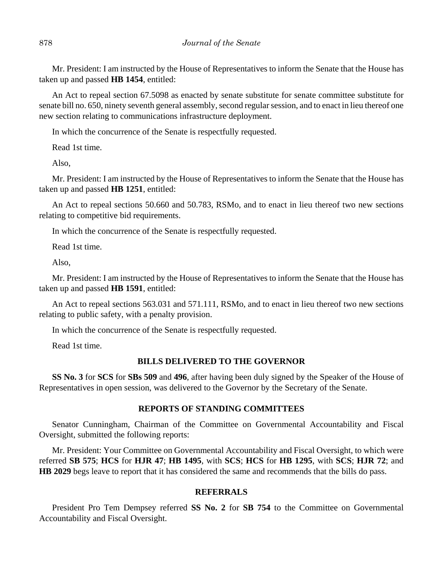Mr. President: I am instructed by the House of Representatives to inform the Senate that the House has taken up and passed **HB 1454**, entitled:

An Act to repeal section 67.5098 as enacted by senate substitute for senate committee substitute for senate bill no. 650, ninety seventh general assembly, second regular session, and to enact in lieu thereof one new section relating to communications infrastructure deployment.

In which the concurrence of the Senate is respectfully requested.

Read 1st time.

Also,

Mr. President: I am instructed by the House of Representatives to inform the Senate that the House has taken up and passed **HB 1251**, entitled:

An Act to repeal sections 50.660 and 50.783, RSMo, and to enact in lieu thereof two new sections relating to competitive bid requirements.

In which the concurrence of the Senate is respectfully requested.

Read 1st time.

Also,

Mr. President: I am instructed by the House of Representatives to inform the Senate that the House has taken up and passed **HB 1591**, entitled:

An Act to repeal sections 563.031 and 571.111, RSMo, and to enact in lieu thereof two new sections relating to public safety, with a penalty provision.

In which the concurrence of the Senate is respectfully requested.

Read 1st time.

#### **BILLS DELIVERED TO THE GOVERNOR**

**SS No. 3** for **SCS** for **SBs 509** and **496**, after having been duly signed by the Speaker of the House of Representatives in open session, was delivered to the Governor by the Secretary of the Senate.

#### **REPORTS OF STANDING COMMITTEES**

Senator Cunningham, Chairman of the Committee on Governmental Accountability and Fiscal Oversight, submitted the following reports:

Mr. President: Your Committee on Governmental Accountability and Fiscal Oversight, to which were referred **SB 575**; **HCS** for **HJR 47**; **HB 1495**, with **SCS**; **HCS** for **HB 1295**, with **SCS**; **HJR 72**; and **HB 2029** begs leave to report that it has considered the same and recommends that the bills do pass.

#### **REFERRALS**

President Pro Tem Dempsey referred **SS No. 2** for **SB 754** to the Committee on Governmental Accountability and Fiscal Oversight.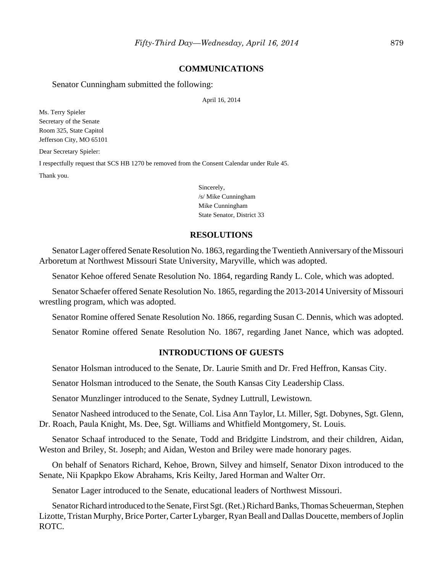#### **COMMUNICATIONS**

Senator Cunningham submitted the following:

#### April 16, 2014

Ms. Terry Spieler Secretary of the Senate Room 325, State Capitol Jefferson City, MO 65101 Dear Secretary Spieler: I respectfully request that SCS HB 1270 be removed from the Consent Calendar under Rule 45. Thank you.

Sincerely, /s/ Mike Cunningham Mike Cunningham State Senator, District 33

#### **RESOLUTIONS**

Senator Lager offered Senate Resolution No. 1863, regarding the Twentieth Anniversary of the Missouri Arboretum at Northwest Missouri State University, Maryville, which was adopted.

Senator Kehoe offered Senate Resolution No. 1864, regarding Randy L. Cole, which was adopted.

Senator Schaefer offered Senate Resolution No. 1865, regarding the 2013-2014 University of Missouri wrestling program, which was adopted.

Senator Romine offered Senate Resolution No. 1866, regarding Susan C. Dennis, which was adopted.

Senator Romine offered Senate Resolution No. 1867, regarding Janet Nance, which was adopted.

## **INTRODUCTIONS OF GUESTS**

Senator Holsman introduced to the Senate, Dr. Laurie Smith and Dr. Fred Heffron, Kansas City.

Senator Holsman introduced to the Senate, the South Kansas City Leadership Class.

Senator Munzlinger introduced to the Senate, Sydney Luttrull, Lewistown.

Senator Nasheed introduced to the Senate, Col. Lisa Ann Taylor, Lt. Miller, Sgt. Dobynes, Sgt. Glenn, Dr. Roach, Paula Knight, Ms. Dee, Sgt. Williams and Whitfield Montgomery, St. Louis.

Senator Schaaf introduced to the Senate, Todd and Bridgitte Lindstrom, and their children, Aidan, Weston and Briley, St. Joseph; and Aidan, Weston and Briley were made honorary pages.

On behalf of Senators Richard, Kehoe, Brown, Silvey and himself, Senator Dixon introduced to the Senate, Nii Kpapkpo Ekow Abrahams, Kris Keilty, Jared Horman and Walter Orr.

Senator Lager introduced to the Senate, educational leaders of Northwest Missouri.

Senator Richard introduced to the Senate, First Sgt. (Ret.) Richard Banks, Thomas Scheuerman, Stephen Lizotte, Tristan Murphy, Brice Porter, Carter Lybarger, Ryan Beall and Dallas Doucette, members of Joplin ROTC.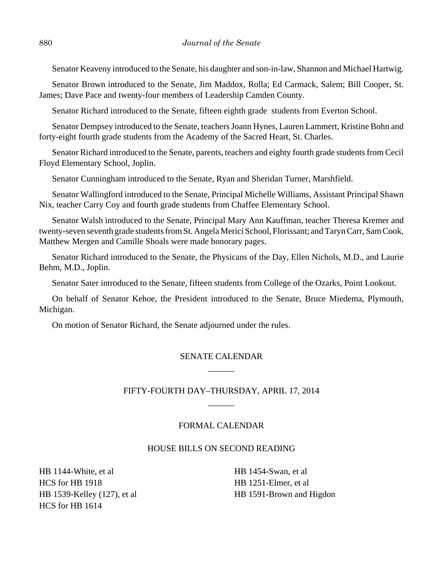Senator Keaveny introduced to the Senate, his daughter and son-in-law, Shannon and Michael Hartwig.

Senator Brown introduced to the Senate, Jim Maddox, Rolla; Ed Carmack, Salem; Bill Cooper, St. James; Dave Pace and twenty-four members of Leadership Camden County.

Senator Richard introduced to the Senate, fifteen eighth grade students from Everton School.

Senator Dempsey introduced to the Senate, teachers Joann Hynes, Lauren Lammert, Kristine Bohn and forty-eight fourth grade students from the Academy of the Sacred Heart, St. Charles.

Senator Richard introduced to the Senate, parents, teachers and eighty fourth grade students from Cecil Floyd Elementary School, Joplin.

Senator Cunningham introduced to the Senate, Ryan and Sheridan Turner, Marshfield.

Senator Wallingford introduced to the Senate, Principal Michelle Williams, Assistant Principal Shawn Nix, teacher Carry Coy and fourth grade students from Chaffee Elementary School.

Senator Walsh introduced to the Senate, Principal Mary Ann Kauffman, teacher Theresa Kremer and twenty-seven seventh grade students from St. Angela Merici School, Florissant; and Taryn Carr, Sam Cook, Matthew Mergen and Camille Shoals were made honorary pages.

Senator Richard introduced to the Senate, the Physicans of the Day, Ellen Nichols, M.D., and Laurie Behm, M.D., Joplin.

Senator Sater introduced to the Senate, fifteen students from College of the Ozarks, Point Lookout.

On behalf of Senator Kehoe, the President introduced to the Senate, Bruce Miedema, Plymouth, Michigan.

On motion of Senator Richard, the Senate adjourned under the rules.

# SENATE CALENDAR \_\_\_\_\_\_

# FIFTY-FOURTH DAY–THURSDAY, APRIL 17, 2014  $\overline{\phantom{a}}$

## FORMAL CALENDAR

#### HOUSE BILLS ON SECOND READING

HB 1144-White, et al HCS for HB 1918 HB 1539-Kelley (127), et al HCS for HB 1614

HB 1454-Swan, et al HB 1251-Elmer, et al HB 1591-Brown and Higdon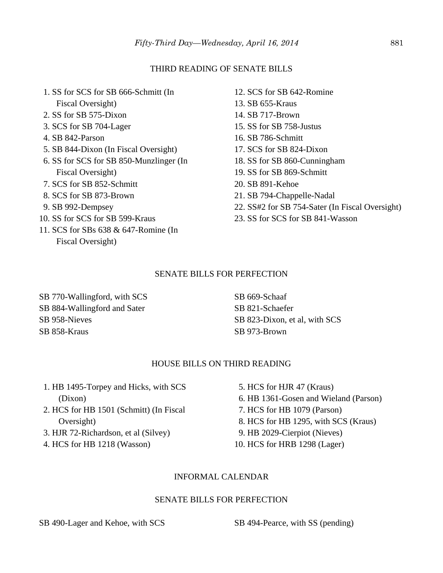#### THIRD READING OF SENATE BILLS

- 1. SS for SCS for SB 666-Schmitt (In Fiscal Oversight)
- 2. SS for SB 575-Dixon
- 3. SCS for SB 704-Lager
- 4. SB 842-Parson
- 5. SB 844-Dixon (In Fiscal Oversight)
- 6. SS for SCS for SB 850-Munzlinger (In Fiscal Oversight)
- 7. SCS for SB 852-Schmitt
- 8. SCS for SB 873-Brown
- 9. SB 992-Dempsey
- 10. SS for SCS for SB 599-Kraus
- 11. SCS for SBs 638 & 647-Romine (In Fiscal Oversight)
- 12. SCS for SB 642-Romine 13. SB 655-Kraus 14. SB 717-Brown 15. SS for SB 758-Justus 16. SB 786-Schmitt 17. SCS for SB 824-Dixon 18. SS for SB 860-Cunningham 19. SS for SB 869-Schmitt 20. SB 891-Kehoe
- 21. SB 794-Chappelle-Nadal
- 22. SS#2 for SB 754-Sater (In Fiscal Oversight)
- 23. SS for SCS for SB 841-Wasson

#### SENATE BILLS FOR PERFECTION

SB 770-Wallingford, with SCS SB 884-Wallingford and Sater SB 958-Nieves SB 858-Kraus

SB 669-Schaaf SB 821-Schaefer SB 823-Dixon, et al, with SCS SB 973-Brown

# HOUSE BILLS ON THIRD READING

- 1. HB 1495-Torpey and Hicks, with SCS (Dixon)
- 2. HCS for HB 1501 (Schmitt) (In Fiscal Oversight)
- 3. HJR 72-Richardson, et al (Silvey)
- 4. HCS for HB 1218 (Wasson)
- 5. HCS for HJR 47 (Kraus)
- 6. HB 1361-Gosen and Wieland (Parson)
- 7. HCS for HB 1079 (Parson)
- 8. HCS for HB 1295, with SCS (Kraus)
- 9. HB 2029-Cierpiot (Nieves)
- 10. HCS for HRB 1298 (Lager)

# INFORMAL CALENDAR

#### SENATE BILLS FOR PERFECTION

SB 490-Lager and Kehoe, with SCS SB 494-Pearce, with SS (pending)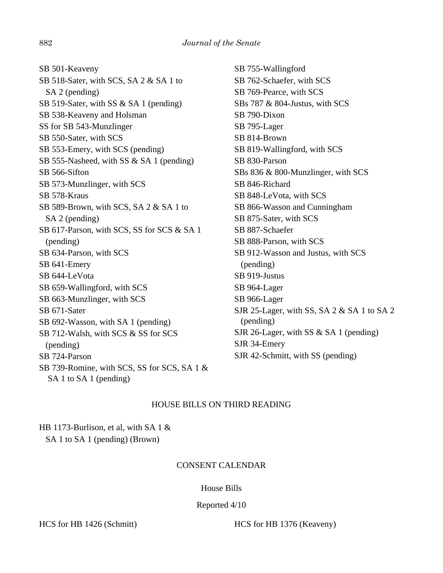SB 501-Keaveny SB 518-Sater, with SCS, SA 2 & SA 1 to SA 2 (pending) SB 519-Sater, with SS & SA 1 (pending) SB 538-Keaveny and Holsman SS for SB 543-Munzlinger SB 550-Sater, with SCS SB 553-Emery, with SCS (pending) SB 555-Nasheed, with SS & SA 1 (pending) SB 566-Sifton SB 573-Munzlinger, with SCS SB 578-Kraus SB 589-Brown, with SCS, SA 2 & SA 1 to SA 2 (pending) SB 617-Parson, with SCS, SS for SCS & SA 1 (pending) SB 634-Parson, with SCS SB 641-Emery SB 644-LeVota SB 659-Wallingford, with SCS SB 663-Munzlinger, with SCS SB 671-Sater SB 692-Wasson, with SA 1 (pending) SB 712-Walsh, with SCS & SS for SCS (pending) SB 724-Parson SB 739-Romine, with SCS, SS for SCS, SA 1 & SA 1 to SA 1 (pending)

SB 755-Wallingford SB 762-Schaefer, with SCS SB 769-Pearce, with SCS SBs 787 & 804-Justus, with SCS SB 790-Dixon SB 795-Lager SB 814-Brown SB 819-Wallingford, with SCS SB 830-Parson SBs 836 & 800-Munzlinger, with SCS SB 846-Richard SB 848-LeVota, with SCS SB 866-Wasson and Cunningham SB 875-Sater, with SCS SB 887-Schaefer SB 888-Parson, with SCS SB 912-Wasson and Justus, with SCS (pending) SB 919-Justus SB 964-Lager SB 966-Lager SJR 25-Lager, with SS, SA 2 & SA 1 to SA 2 (pending) SJR 26-Lager, with SS & SA 1 (pending) SJR 34-Emery SJR 42-Schmitt, with SS (pending)

# HOUSE BILLS ON THIRD READING

HB 1173-Burlison, et al, with SA 1 & SA 1 to SA 1 (pending) (Brown)

# CONSENT CALENDAR

# House Bills

# Reported 4/10

HCS for HB 1426 (Schmitt) HCS for HB 1376 (Keaveny)